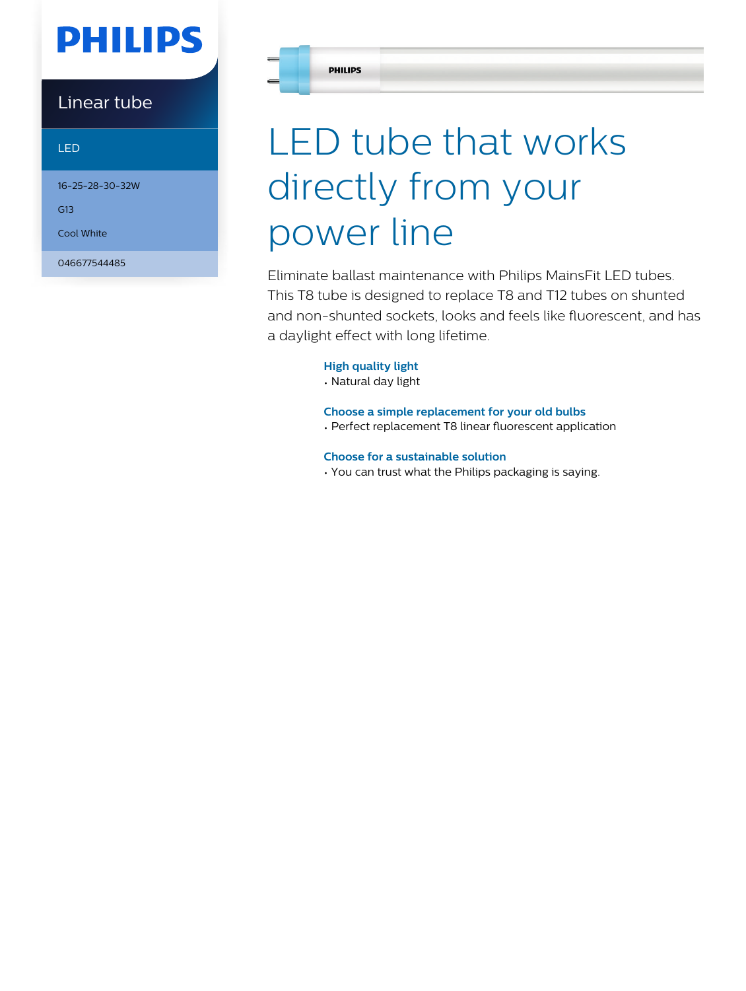# **PHILIPS**

### Linear tube

### LED

16-25-28-30-32W

G13

Cool White

046677544485

# LED tube that works directly from your power line

Eliminate ballast maintenance with Philips MainsFit LED tubes. This T8 tube is designed to replace T8 and T12 tubes on shunted and non-shunted sockets, looks and feels like fluorescent, and has a daylight effect with long lifetime.

### **High quality light**

• Natural day light

**Choose a simple replacement for your old bulbs** • Perfect replacement T8 linear fluorescent application

**Choose for a sustainable solution**

• You can trust what the Philips packaging is saying.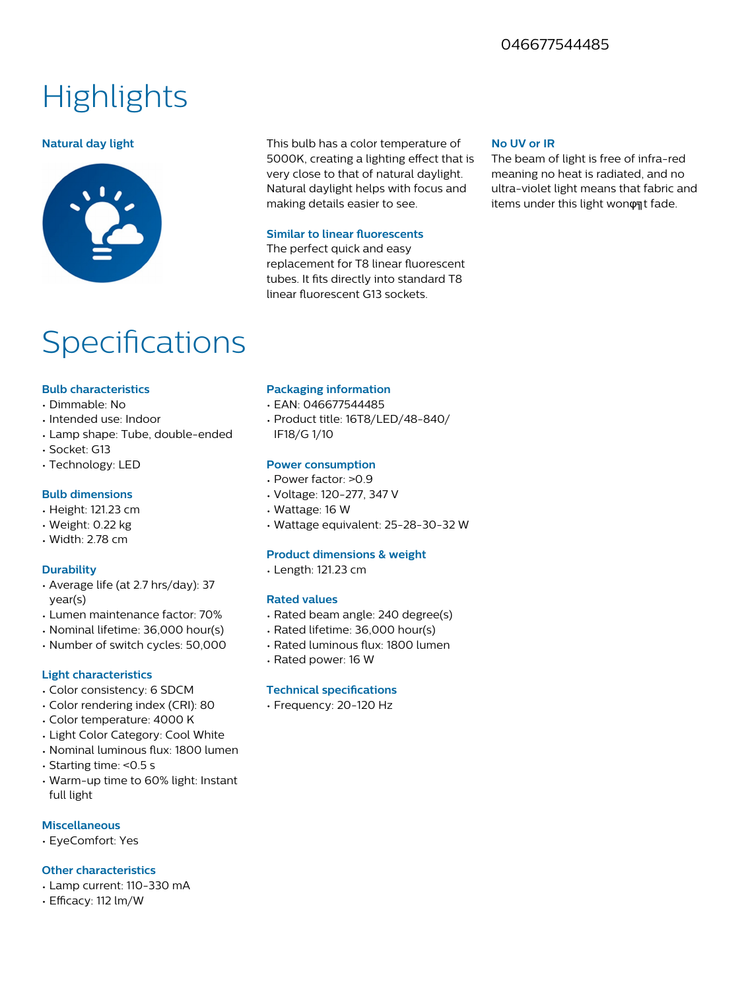### 046677544485

## **Highlights**



**Natural day light** This bulb has a color temperature of 5000K, creating a lighting effect that is very close to that of natural daylight. Natural daylight helps with focus and making details easier to see.

#### **Similar to linear fluorescents**

The perfect quick and easy replacement for T8 linear fluorescent tubes. It fits directly into standard T8 linear fluorescent G13 sockets.

#### **No UV or IR**

The beam of light is free of infra-red meaning no heat is radiated, and no ultra-violet light means that fabric and items under this light wonφat fade.

### **Specifications**

#### **Bulb characteristics**

- Dimmable: No
- Intended use: Indoor
- Lamp shape: Tube, double-ended
- Socket: G13
- Technology: LED

#### **Bulb dimensions**

- Height: 121.23 cm
- Weight: 0.22 kg
- Width: 2.78 cm

#### **Durability**

- Average life (at 2.7 hrs/day): 37 year(s)
- Lumen maintenance factor: 70%
- Nominal lifetime: 36,000 hour(s)
- Number of switch cycles: 50,000

#### **Light characteristics**

- Color consistency: 6 SDCM
- Color rendering index (CRI): 80
- Color temperature: 4000 K
- Light Color Category: Cool White
- Nominal luminous flux: 1800 lumen
- Starting time: <0.5 s
- Warm-up time to 60% light: Instant full light

#### **Miscellaneous**

• EyeComfort: Yes

#### **Other characteristics**

- Lamp current: 110-330 mA
- Efficacy: 112 lm/W

#### **Packaging information**

- EAN: 046677544485
- Product title: 16T8/LED/48-840/ IF18/G 1/10

#### **Power consumption**

- Power factor: >0.9
- Voltage: 120-277, 347 V
- Wattage: 16 W
- Wattage equivalent: 25-28-30-32 W

#### **Product dimensions & weight**

• Length: 121.23 cm

#### **Rated values**

- Rated beam angle: 240 degree(s)
- Rated lifetime: 36,000 hour(s)
- Rated luminous flux: 1800 lumen
- Rated power: 16 W

#### **Technical specifications**

• Frequency: 20-120 Hz